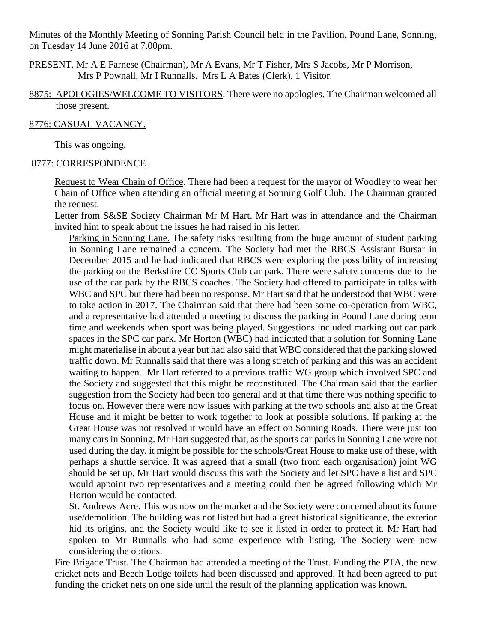Minutes of the Monthly Meeting of Sonning Parish Council held in the Pavilion, Pound Lane, Sonning, on Tuesday 14 June 2016 at 7.00pm.

PRESENT. Mr A E Farnese (Chairman), Mr A Evans, Mr T Fisher, Mrs S Jacobs, Mr P Morrison, Mrs P Pownall, Mr I Runnalls. Mrs L A Bates (Clerk). 1 Visitor.

8875: APOLOGIES/WELCOME TO VISITORS. There were no apologies. The Chairman welcomed all those present.

#### 8776: CASUAL VACANCY.

This was ongoing.

### 8777: CORRESPONDENCE

Request to Wear Chain of Office. There had been a request for the mayor of Woodley to wear her Chain of Office when attending an official meeting at Sonning Golf Club. The Chairman granted the request.

Letter from S&SE Society Chairman Mr M Hart. Mr Hart was in attendance and the Chairman invited him to speak about the issues he had raised in his letter.

Parking in Sonning Lane. The safety risks resulting from the huge amount of student parking in Sonning Lane remained a concern. The Society had met the RBCS Assistant Bursar in December 2015 and he had indicated that RBCS were exploring the possibility of increasing the parking on the Berkshire CC Sports Club car park. There were safety concerns due to the use of the car park by the RBCS coaches. The Society had offered to participate in talks with WBC and SPC but there had been no response. Mr Hart said that he understood that WBC were to take action in 2017. The Chairman said that there had been some co-operation from WBC, and a representative had attended a meeting to discuss the parking in Pound Lane during term time and weekends when sport was being played. Suggestions included marking out car park spaces in the SPC car park. Mr Horton (WBC) had indicated that a solution for Sonning Lane might materialise in about a year but had also said that WBC considered that the parking slowed traffic down. Mr Runnalls said that there was a long stretch of parking and this was an accident waiting to happen. Mr Hart referred to a previous traffic WG group which involved SPC and the Society and suggested that this might be reconstituted. The Chairman said that the earlier suggestion from the Society had been too general and at that time there was nothing specific to focus on. However there were now issues with parking at the two schools and also at the Great House and it might be better to work together to look at possible solutions. If parking at the Great House was not resolved it would have an effect on Sonning Roads. There were just too many cars in Sonning. Mr Hart suggested that, as the sports car parks in Sonning Lane were not used during the day, it might be possible for the schools/Great House to make use of these, with perhaps a shuttle service. It was agreed that a small (two from each organisation) joint WG should be set up, Mr Hart would discuss this with the Society and let SPC have a list and SPC would appoint two representatives and a meeting could then be agreed following which Mr Horton would be contacted.

St. Andrews Acre. This was now on the market and the Society were concerned about its future use/demolition. The building was not listed but had a great historical significance, the exterior hid its origins, and the Society would like to see it listed in order to protect it. Mr Hart had spoken to Mr Runnalls who had some experience with listing. The Society were now considering the options.

Fire Brigade Trust. The Chairman had attended a meeting of the Trust. Funding the PTA, the new cricket nets and Beech Lodge toilets had been discussed and approved. It had been agreed to put funding the cricket nets on one side until the result of the planning application was known.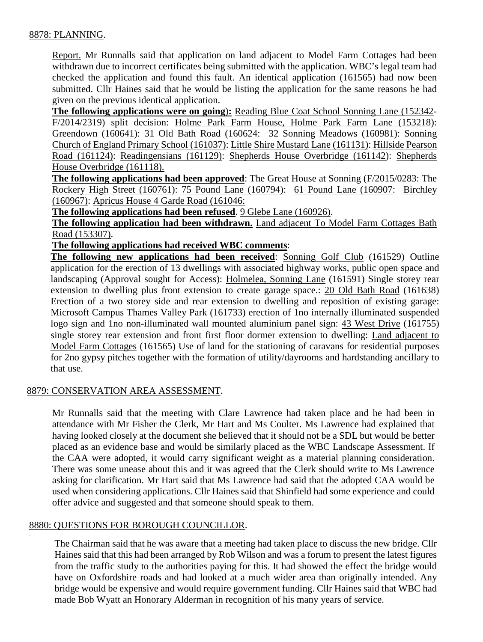## 8878: PLANNING.

Report. Mr Runnalls said that application on land adjacent to Model Farm Cottages had been withdrawn due to incorrect certificates being submitted with the application. WBC's legal team had checked the application and found this fault. An identical application (161565) had now been submitted. Cllr Haines said that he would be listing the application for the same reasons he had given on the previous identical application.

**The following applications were on going**)**:** Reading Blue Coat School Sonning Lane (152342- F/2014/2319) split decision: Holme Park Farm House, Holme Park Farm Lane (153218): Greendown (160641): 31 Old Bath Road (160624: 32 Sonning Meadows (160981): Sonning Church of England Primary School (161037): Little Shire Mustard Lane (161131): Hillside Pearson Road (161124): Readingensians (161129): Shepherds House Overbridge (161142): Shepherds House Overbridge (161118).

**The following applications had been approved**: The Great House at Sonning (F/2015/0283: The Rockery High Street (160761): 75 Pound Lane (160794): 61 Pound Lane (160907: Birchley (160967): Apricus House 4 Garde Road (161046:

**The following applications had been refused**. 9 Glebe Lane (160926).

**The following application had been withdrawn.** Land adjacent To Model Farm Cottages Bath Road (153307).

**The following applications had received WBC comments**:

**The following new applications had been received**: Sonning Golf Club (161529) Outline application for the erection of 13 dwellings with associated highway works, public open space and landscaping (Approval sought for Access): Holmelea, Sonning Lane (161591) Single storey rear extension to dwelling plus front extension to create garage space.: 20 Old Bath Road (161638) Erection of a two storey side and rear extension to dwelling and reposition of existing garage: Microsoft Campus Thames Valley Park (161733) erection of 1no internally illuminated suspended logo sign and 1no non-illuminated wall mounted aluminium panel sign: 43 West Drive (161755) single storey rear extension and front first floor dormer extension to dwelling: Land adjacent to Model Farm Cottages (161565) Use of land for the stationing of caravans for residential purposes for 2no gypsy pitches together with the formation of utility/dayrooms and hardstanding ancillary to that use.

### 8879: CONSERVATION AREA ASSESSMENT.

Mr Runnalls said that the meeting with Clare Lawrence had taken place and he had been in attendance with Mr Fisher the Clerk, Mr Hart and Ms Coulter. Ms Lawrence had explained that having looked closely at the document she believed that it should not be a SDL but would be better placed as an evidence base and would be similarly placed as the WBC Landscape Assessment. If the CAA were adopted, it would carry significant weight as a material planning consideration. There was some unease about this and it was agreed that the Clerk should write to Ms Lawrence asking for clarification. Mr Hart said that Ms Lawrence had said that the adopted CAA would be used when considering applications. Cllr Haines said that Shinfield had some experience and could offer advice and suggested and that someone should speak to them.

# 8880: QUESTIONS FOR BOROUGH COUNCILLOR.

.

The Chairman said that he was aware that a meeting had taken place to discuss the new bridge. Cllr Haines said that this had been arranged by Rob Wilson and was a forum to present the latest figures from the traffic study to the authorities paying for this. It had showed the effect the bridge would have on Oxfordshire roads and had looked at a much wider area than originally intended. Any bridge would be expensive and would require government funding. Cllr Haines said that WBC had made Bob Wyatt an Honorary Alderman in recognition of his many years of service.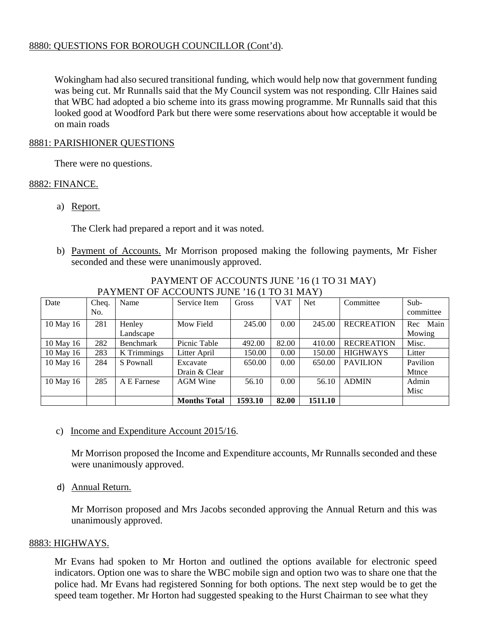### 8880: QUESTIONS FOR BOROUGH COUNCILLOR (Cont'd).

Wokingham had also secured transitional funding, which would help now that government funding was being cut. Mr Runnalls said that the My Council system was not responding. Cllr Haines said that WBC had adopted a bio scheme into its grass mowing programme. Mr Runnalls said that this looked good at Woodford Park but there were some reservations about how acceptable it would be on main roads

### 8881: PARISHIONER QUESTIONS

There were no questions.

## 8882: FINANCE.

a) Report.

The Clerk had prepared a report and it was noted.

b) Payment of Accounts. Mr Morrison proposed making the following payments, Mr Fisher seconded and these were unanimously approved.

| Date      | Cheq. | Name               | Service Item        | Gross   | <b>VAT</b> | <b>Net</b> | Committee         | $Sub-$      |
|-----------|-------|--------------------|---------------------|---------|------------|------------|-------------------|-------------|
|           | No.   |                    |                     |         |            |            |                   | committee   |
| 10 May 16 | 281   | Henley             | Mow Field           | 245.00  | 0.00       | 245.00     | <b>RECREATION</b> | Main<br>Rec |
|           |       | Landscape          |                     |         |            |            |                   | Mowing      |
| 10 May 16 | 282   | <b>Benchmark</b>   | Picnic Table        | 492.00  | 82.00      | 410.00     | <b>RECREATION</b> | Misc.       |
| 10 May 16 | 283   | <b>K</b> Trimmings | Litter April        | 150.00  | 0.00       | 150.00     | <b>HIGHWAYS</b>   | Litter      |
| 10 May 16 | 284   | S Pownall          | Excavate            | 650.00  | 0.00       | 650.00     | <b>PAVILION</b>   | Pavilion    |
|           |       |                    | Drain & Clear       |         |            |            |                   | Mtnce       |
| 10 May 16 | 285   | A E Farnese        | <b>AGM</b> Wine     | 56.10   | 0.00       | 56.10      | <b>ADMIN</b>      | Admin       |
|           |       |                    |                     |         |            |            |                   | Misc        |
|           |       |                    | <b>Months Total</b> | 1593.10 | 82.00      | 1511.10    |                   |             |

#### PAYMENT OF ACCOUNTS JUNE '16 (1 TO 31 MAY) PAYMENT OF ACCOUNTS JUNE '16 (1 TO 31 MAY)

# c) Income and Expenditure Account 2015/16.

Mr Morrison proposed the Income and Expenditure accounts, Mr Runnalls seconded and these were unanimously approved.

d) Annual Return.

Mr Morrison proposed and Mrs Jacobs seconded approving the Annual Return and this was unanimously approved.

# 8883: HIGHWAYS.

Mr Evans had spoken to Mr Horton and outlined the options available for electronic speed indicators. Option one was to share the WBC mobile sign and option two was to share one that the police had. Mr Evans had registered Sonning for both options. The next step would be to get the speed team together. Mr Horton had suggested speaking to the Hurst Chairman to see what they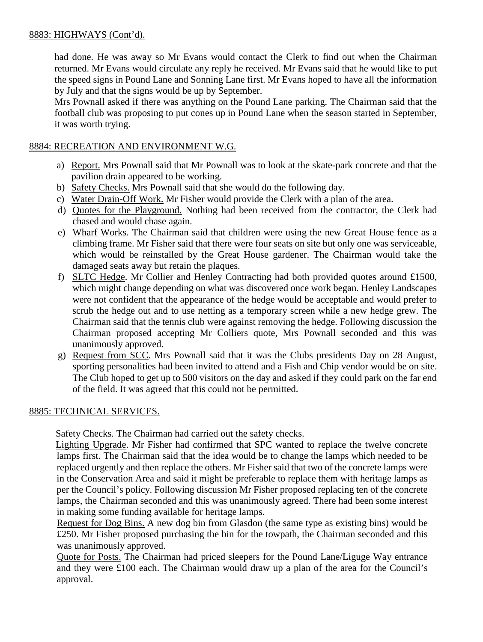# 8883: HIGHWAYS (Cont'd).

had done. He was away so Mr Evans would contact the Clerk to find out when the Chairman returned. Mr Evans would circulate any reply he received. Mr Evans said that he would like to put the speed signs in Pound Lane and Sonning Lane first. Mr Evans hoped to have all the information by July and that the signs would be up by September.

Mrs Pownall asked if there was anything on the Pound Lane parking. The Chairman said that the football club was proposing to put cones up in Pound Lane when the season started in September, it was worth trying.

### 8884: RECREATION AND ENVIRONMENT W.G.

- a) Report. Mrs Pownall said that Mr Pownall was to look at the skate-park concrete and that the pavilion drain appeared to be working.
- b) Safety Checks. Mrs Pownall said that she would do the following day.
- c) Water Drain-Off Work. Mr Fisher would provide the Clerk with a plan of the area.
- d) Quotes for the Playground. Nothing had been received from the contractor, the Clerk had chased and would chase again.
- e) Wharf Works. The Chairman said that children were using the new Great House fence as a climbing frame. Mr Fisher said that there were four seats on site but only one was serviceable, which would be reinstalled by the Great House gardener. The Chairman would take the damaged seats away but retain the plaques.
- f) SLTC Hedge. Mr Collier and Henley Contracting had both provided quotes around £1500, which might change depending on what was discovered once work began. Henley Landscapes were not confident that the appearance of the hedge would be acceptable and would prefer to scrub the hedge out and to use netting as a temporary screen while a new hedge grew. The Chairman said that the tennis club were against removing the hedge. Following discussion the Chairman proposed accepting Mr Colliers quote, Mrs Pownall seconded and this was unanimously approved.
- g) Request from SCC. Mrs Pownall said that it was the Clubs presidents Day on 28 August, sporting personalities had been invited to attend and a Fish and Chip vendor would be on site. The Club hoped to get up to 500 visitors on the day and asked if they could park on the far end of the field. It was agreed that this could not be permitted.

### 8885: TECHNICAL SERVICES.

Safety Checks. The Chairman had carried out the safety checks.

 Lighting Upgrade. Mr Fisher had confirmed that SPC wanted to replace the twelve concrete lamps first. The Chairman said that the idea would be to change the lamps which needed to be replaced urgently and then replace the others. Mr Fisher said that two of the concrete lamps were in the Conservation Area and said it might be preferable to replace them with heritage lamps as per the Council's policy. Following discussion Mr Fisher proposed replacing ten of the concrete lamps, the Chairman seconded and this was unanimously agreed. There had been some interest in making some funding available for heritage lamps.

Request for Dog Bins. A new dog bin from Glasdon (the same type as existing bins) would be £250. Mr Fisher proposed purchasing the bin for the towpath, the Chairman seconded and this was unanimously approved.

Quote for Posts. The Chairman had priced sleepers for the Pound Lane/Liguge Way entrance and they were £100 each. The Chairman would draw up a plan of the area for the Council's approval.